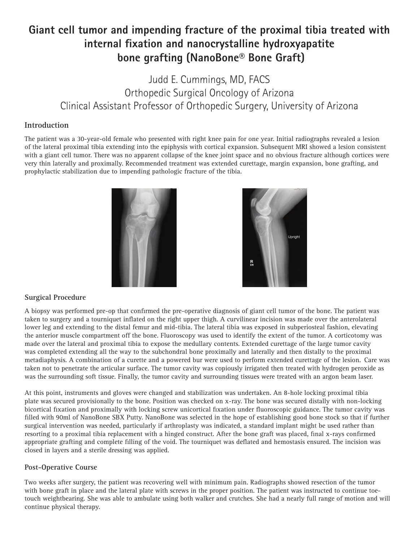## **Giant cell tumor and impending fracture of the proximal tibia treated with internal fixation and nanocrystalline hydroxyapatite bone grafting (NanoBone® Bone Graft)**

Judd E. Cummings, MD, FACS Orthopedic Surgical Oncology of Arizona Clinical Assistant Professor of Orthopedic Surgery, University of Arizona

## **Introduction**

The patient was a 30-year-old female who presented with right knee pain for one year. Initial radiographs revealed a lesion of the lateral proximal tibia extending into the epiphysis with cortical expansion. Subsequent MRI showed a lesion consistent with a giant cell tumor. There was no apparent collapse of the knee joint space and no obvious fracture although cortices were very thin laterally and proximally. Recommended treatment was extended curettage, margin expansion, bone grafting, and prophylactic stabilization due to impending pathologic fracture of the tibia.





## **Surgical Procedure**

A biopsy was performed pre-op that confirmed the pre-operative diagnosis of giant cell tumor of the bone. The patient was taken to surgery and a tourniquet inflated on the right upper thigh. A curvilinear incision was made over the anterolateral lower leg and extending to the distal femur and mid-tibia. The lateral tibia was exposed in subperiosteal fashion, elevating the anterior muscle compartment off the bone. Fluoroscopy was used to identify the extent of the tumor. A corticotomy was made over the lateral and proximal tibia to expose the medullary contents. Extended curettage of the large tumor cavity was completed extending all the way to the subchondral bone proximally and laterally and then distally to the proximal metadiaphysis. A combination of a curette and a powered bur were used to perform extended curettage of the lesion. Care was taken not to penetrate the articular surface. The tumor cavity was copiously irrigated then treated with hydrogen peroxide as was the surrounding soft tissue. Finally, the tumor cavity and surrounding tissues were treated with an argon beam laser.

At this point, instruments and gloves were changed and stabilization was undertaken. An 8-hole locking proximal tibia plate was secured provisionally to the bone. Position was checked on x-ray. The bone was secured distally with non-locking bicortical fixation and proximally with locking screw unicortical fixation under fluoroscopic guidance. The tumor cavity was filled with 90ml of NanoBone SBX Putty. NanoBone was selected in the hope of establishing good bone stock so that if further surgical intervention was needed, particularly if arthroplasty was indicated, a standard implant might be used rather than resorting to a proximal tibia replacement with a hinged construct. After the bone graft was placed, final x-rays confirmed appropriate grafting and complete filling of the void. The tourniquet was deflated and hemostasis ensured. The incision was closed in layers and a sterile dressing was applied.

## **Post-Operative Course**

Two weeks after surgery, the patient was recovering well with minimum pain. Radiographs showed resection of the tumor with bone graft in place and the lateral plate with screws in the proper position. The patient was instructed to continue toetouch weightbearing. She was able to ambulate using both walker and crutches. She had a nearly full range of motion and will continue physical therapy.